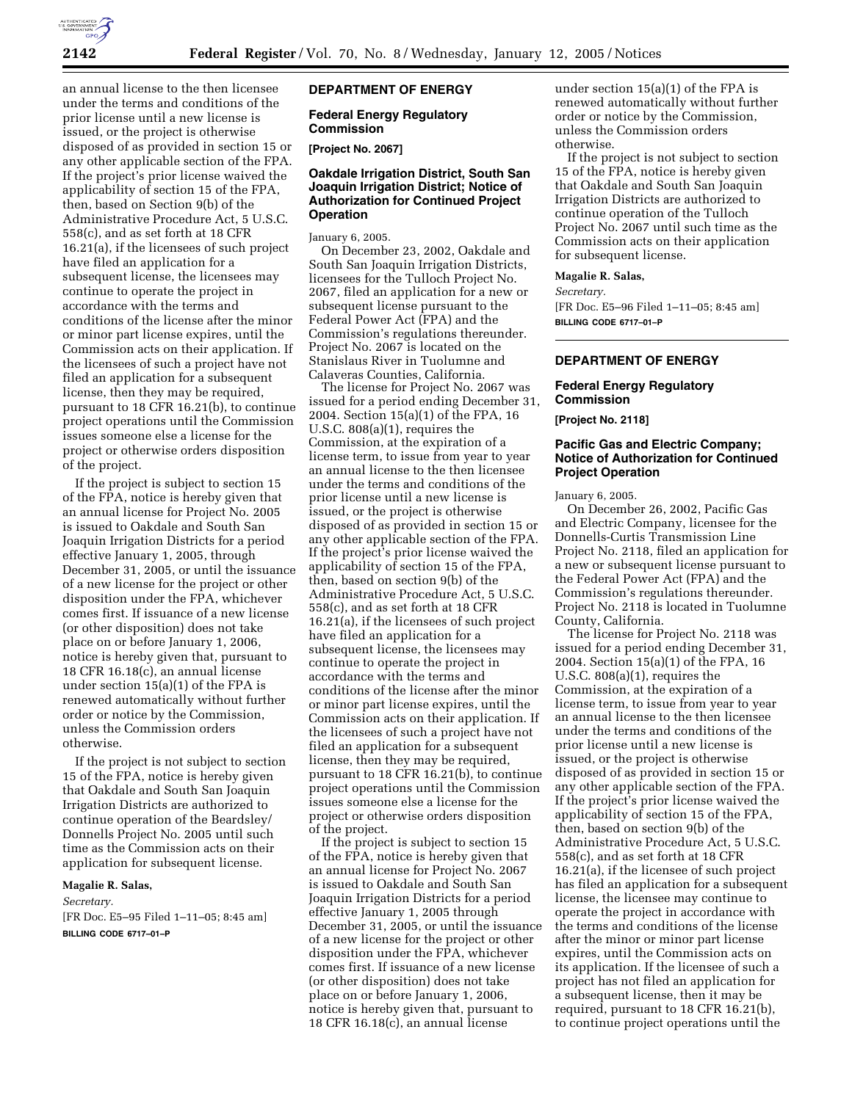

an annual license to the then licensee under the terms and conditions of the prior license until a new license is issued, or the project is otherwise disposed of as provided in section 15 or any other applicable section of the FPA. If the project's prior license waived the applicability of section 15 of the FPA, then, based on Section 9(b) of the Administrative Procedure Act, 5 U.S.C. 558(c), and as set forth at 18 CFR 16.21(a), if the licensees of such project have filed an application for a subsequent license, the licensees may continue to operate the project in accordance with the terms and conditions of the license after the minor or minor part license expires, until the Commission acts on their application. If the licensees of such a project have not filed an application for a subsequent license, then they may be required, pursuant to 18 CFR 16.21(b), to continue project operations until the Commission issues someone else a license for the project or otherwise orders disposition of the project.

If the project is subject to section 15 of the FPA, notice is hereby given that an annual license for Project No. 2005 is issued to Oakdale and South San Joaquin Irrigation Districts for a period effective January 1, 2005, through December 31, 2005, or until the issuance of a new license for the project or other disposition under the FPA, whichever comes first. If issuance of a new license (or other disposition) does not take place on or before January 1, 2006, notice is hereby given that, pursuant to 18 CFR 16.18(c), an annual license under section 15(a)(1) of the FPA is renewed automatically without further order or notice by the Commission, unless the Commission orders otherwise.

If the project is not subject to section 15 of the FPA, notice is hereby given that Oakdale and South San Joaquin Irrigation Districts are authorized to continue operation of the Beardsley/ Donnells Project No. 2005 until such time as the Commission acts on their application for subsequent license.

### **Magalie R. Salas,**

*Secretary.*

[FR Doc. E5–95 Filed 1–11–05; 8:45 am] **BILLING CODE 6717–01–P**

## **DEPARTMENT OF ENERGY**

## **Federal Energy Regulatory Commission**

**[Project No. 2067]** 

## **Oakdale Irrigation District, South San Joaquin Irrigation District; Notice of Authorization for Continued Project Operation**

January 6, 2005.

On December 23, 2002, Oakdale and South San Joaquin Irrigation Districts, licensees for the Tulloch Project No. 2067, filed an application for a new or subsequent license pursuant to the Federal Power Act (FPA) and the Commission's regulations thereunder. Project No. 2067 is located on the Stanislaus River in Tuolumne and Calaveras Counties, California.

The license for Project No. 2067 was issued for a period ending December 31, 2004. Section 15(a)(1) of the FPA, 16 U.S.C. 808(a)(1), requires the Commission, at the expiration of a license term, to issue from year to year an annual license to the then licensee under the terms and conditions of the prior license until a new license is issued, or the project is otherwise disposed of as provided in section 15 or any other applicable section of the FPA. If the project's prior license waived the applicability of section 15 of the FPA, then, based on section 9(b) of the Administrative Procedure Act, 5 U.S.C. 558(c), and as set forth at 18 CFR 16.21(a), if the licensees of such project have filed an application for a subsequent license, the licensees may continue to operate the project in accordance with the terms and conditions of the license after the minor or minor part license expires, until the Commission acts on their application. If the licensees of such a project have not filed an application for a subsequent license, then they may be required, pursuant to 18 CFR 16.21(b), to continue project operations until the Commission issues someone else a license for the project or otherwise orders disposition of the project.

If the project is subject to section 15 of the FPA, notice is hereby given that an annual license for Project No. 2067 is issued to Oakdale and South San Joaquin Irrigation Districts for a period effective January 1, 2005 through December 31, 2005, or until the issuance of a new license for the project or other disposition under the FPA, whichever comes first. If issuance of a new license (or other disposition) does not take place on or before January 1, 2006, notice is hereby given that, pursuant to 18 CFR 16.18(c), an annual license

under section 15(a)(1) of the FPA is renewed automatically without further order or notice by the Commission, unless the Commission orders otherwise.

If the project is not subject to section 15 of the FPA, notice is hereby given that Oakdale and South San Joaquin Irrigation Districts are authorized to continue operation of the Tulloch Project No. 2067 until such time as the Commission acts on their application for subsequent license.

**Magalie R. Salas,** 

#### *Secretary.*

[FR Doc. E5–96 Filed 1–11–05; 8:45 am] **BILLING CODE 6717–01–P**

## **DEPARTMENT OF ENERGY**

### **Federal Energy Regulatory Commission**

**[Project No. 2118]** 

## **Pacific Gas and Electric Company; Notice of Authorization for Continued Project Operation**

January 6, 2005.

On December 26, 2002, Pacific Gas and Electric Company, licensee for the Donnells-Curtis Transmission Line Project No. 2118, filed an application for a new or subsequent license pursuant to the Federal Power Act (FPA) and the Commission's regulations thereunder. Project No. 2118 is located in Tuolumne County, California.

The license for Project No. 2118 was issued for a period ending December 31, 2004. Section 15(a)(1) of the FPA, 16 U.S.C. 808(a)(1), requires the Commission, at the expiration of a license term, to issue from year to year an annual license to the then licensee under the terms and conditions of the prior license until a new license is issued, or the project is otherwise disposed of as provided in section 15 or any other applicable section of the FPA. If the project's prior license waived the applicability of section 15 of the FPA, then, based on section 9(b) of the Administrative Procedure Act, 5 U.S.C. 558(c), and as set forth at 18 CFR 16.21(a), if the licensee of such project has filed an application for a subsequent license, the licensee may continue to operate the project in accordance with the terms and conditions of the license after the minor or minor part license expires, until the Commission acts on its application. If the licensee of such a project has not filed an application for a subsequent license, then it may be required, pursuant to 18 CFR 16.21(b), to continue project operations until the